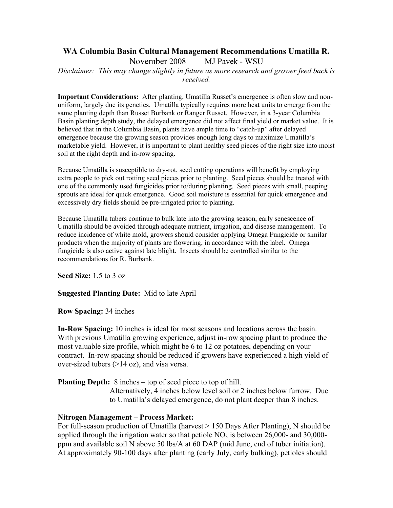# **WA Columbia Basin Cultural Management Recommendations Umatilla R.** November 2008 MJ Pavek - WSU

*Disclaimer: This may change slightly in future as more research and grower feed back is received.* 

**Important Considerations:** After planting, Umatilla Russet's emergence is often slow and nonuniform, largely due its genetics. Umatilla typically requires more heat units to emerge from the same planting depth than Russet Burbank or Ranger Russet. However, in a 3-year Columbia Basin planting depth study, the delayed emergence did not affect final yield or market value. It is believed that in the Columbia Basin, plants have ample time to "catch-up" after delayed emergence because the growing season provides enough long days to maximize Umatilla's marketable yield. However, it is important to plant healthy seed pieces of the right size into moist soil at the right depth and in-row spacing.

Because Umatilla is susceptible to dry-rot, seed cutting operations will benefit by employing extra people to pick out rotting seed pieces prior to planting. Seed pieces should be treated with one of the commonly used fungicides prior to/during planting. Seed pieces with small, peeping sprouts are ideal for quick emergence. Good soil moisture is essential for quick emergence and excessively dry fields should be pre-irrigated prior to planting.

Because Umatilla tubers continue to bulk late into the growing season, early senescence of Umatilla should be avoided through adequate nutrient, irrigation, and disease management. To reduce incidence of white mold, growers should consider applying Omega Fungicide or similar products when the majority of plants are flowering, in accordance with the label. Omega fungicide is also active against late blight. Insects should be controlled similar to the recommendations for R. Burbank.

**Seed Size:** 1.5 to 3 oz

# **Suggested Planting Date:** Mid to late April

**Row Spacing:** 34 inches

**In-Row Spacing:** 10 inches is ideal for most seasons and locations across the basin. With previous Umatilla growing experience, adjust in-row spacing plant to produce the most valuable size profile, which might be 6 to 12 oz potatoes, depending on your contract. In-row spacing should be reduced if growers have experienced a high yield of over-sized tubers (>14 oz), and visa versa.

**Planting Depth:** 8 inches – top of seed piece to top of hill.

Alternatively, 4 inches below level soil or 2 inches below furrow. Due to Umatilla's delayed emergence, do not plant deeper than 8 inches.

# **Nitrogen Management – Process Market:**

For full-season production of Umatilla (harvest > 150 Days After Planting), N should be applied through the irrigation water so that petiole  $NO<sub>3</sub>$  is between 26,000- and 30,000ppm and available soil N above 50 lbs/A at 60 DAP (mid June, end of tuber initiation). At approximately 90-100 days after planting (early July, early bulking), petioles should